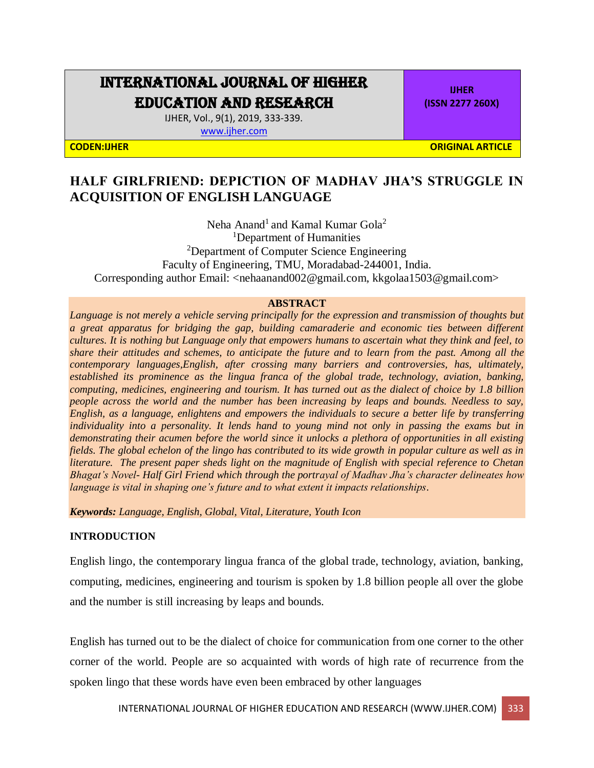# INTERNATIONAL JOURNAL OF HIGHER EDUCATION AND RESEARCH

IJHER, Vol., 9(1), 2019, 333-339. [www.ijher.com](http://www.ijher.com/)

**IJHER (ISSN 2277 260X)**

**CODEN:IJHER ORIGINAL ARTICLE**

# **HALF GIRLFRIEND: DEPICTION OF MADHAV JHA'S STRUGGLE IN ACQUISITION OF ENGLISH LANGUAGE**

Neha Anand<sup>1</sup> and Kamal Kumar Gola<sup>2</sup> <sup>1</sup>Department of Humanities <sup>2</sup>Department of Computer Science Engineering Faculty of Engineering, TMU, Moradabad-244001, India. Corresponding author Email: <nehaanand002@gmail.com, kkgolaa1503@gmail.com>

#### **ABSTRACT**

*Language is not merely a vehicle serving principally for the expression and transmission of thoughts but a great apparatus for bridging the gap, building camaraderie and economic ties between different cultures. It is nothing but Language only that empowers humans to ascertain what they think and feel, to share their attitudes and schemes, to anticipate the future and to learn from the past. Among all the contemporary languages,English, after crossing many barriers and controversies, has, ultimately, established its prominence as the lingua franca of the global trade, technology, aviation, banking, computing, medicines, engineering and tourism. It has turned out as the dialect of choice by 1.8 billion people across the world and the number has been increasing by leaps and bounds. Needless to say, English, as a language, enlightens and empowers the individuals to secure a better life by transferring individuality into a personality. It lends hand to young mind not only in passing the exams but in demonstrating their acumen before the world since it unlocks a plethora of opportunities in all existing fields. The global echelon of the lingo has contributed to its wide growth in popular culture as well as in literature. The present paper sheds light on the magnitude of English with special reference to Chetan Bhagat's Novel- Half Girl Friend which through the portrayal of Madhav Jha's character delineates how language is vital in shaping one's future and to what extent it impacts relationships.*

*Keywords: Language, English, Global, Vital, Literature, Youth Icon*

# **INTRODUCTION**

English lingo, the contemporary lingua franca of the global trade, technology, aviation, banking, computing, medicines, engineering and tourism is spoken by 1.8 billion people all over the globe and the number is still increasing by leaps and bounds.

English has turned out to be the dialect of choice for communication from one corner to the other corner of the world. People are so acquainted with words of high rate of recurrence from the spoken lingo that these words have even been embraced by other languages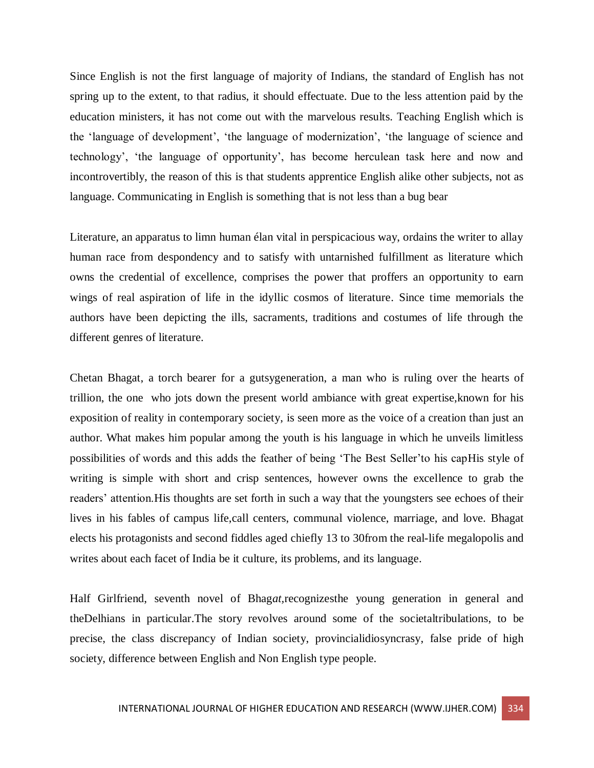Since English is not the first language of majority of Indians, the standard of English has not spring up to the extent, to that radius, it should effectuate. Due to the less attention paid by the education ministers, it has not come out with the marvelous results. Teaching English which is the 'language of development', 'the language of modernization', 'the language of science and technology', 'the language of opportunity', has become herculean task here and now and incontrovertibly, the reason of this is that students apprentice English alike other subjects, not as language. Communicating in English is something that is not less than a bug bear

Literature, an apparatus to limn human élan vital in perspicacious way, ordains the writer to allay human race from despondency and to satisfy with untarnished fulfillment as literature which owns the credential of excellence, comprises the power that proffers an opportunity to earn wings of real aspiration of life in the idyllic cosmos of literature. Since time memorials the authors have been depicting the ills, sacraments, traditions and costumes of life through the different genres of literature.

Chetan Bhagat, a torch bearer for a gutsygeneration, a man who is ruling over the hearts of trillion, the one who jots down the present world ambiance with great expertise,known for his exposition of reality in contemporary society, is seen more as the voice of a creation than just an author. What makes him popular among the youth is his language in which he unveils limitless possibilities of words and this adds the feather of being 'The Best Seller'to his capHis style of writing is simple with short and crisp sentences, however owns the excellence to grab the readers' attention.His thoughts are set forth in such a way that the youngsters see echoes of their lives in his fables of campus life,call centers, communal violence, marriage, and love. Bhagat elects his protagonists and second fiddles aged chiefly 13 to 30from the real-life megalopolis and writes about each facet of India be it culture, its problems, and its language.

Half Girlfriend, seventh novel of Bhag*at,*recognizesthe young generation in general and theDelhians in particular.The story revolves around some of the societaltribulations, to be precise, the class discrepancy of Indian society, provincialidiosyncrasy, false pride of high society, difference between English and Non English type people.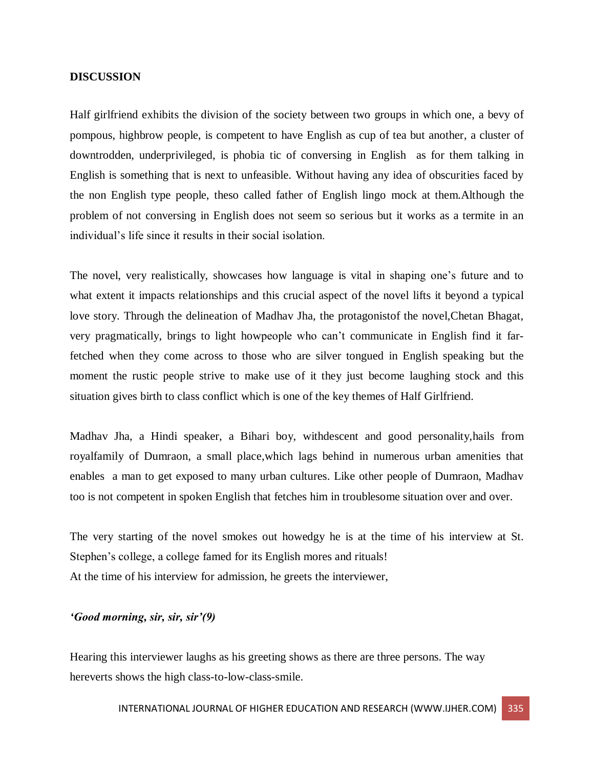#### **DISCUSSION**

Half girlfriend exhibits the division of the society between two groups in which one, a bevy of pompous, highbrow people, is competent to have English as cup of tea but another, a cluster of downtrodden, underprivileged, is phobia tic of conversing in English as for them talking in English is something that is next to unfeasible. Without having any idea of obscurities faced by the non English type people, theso called father of English lingo mock at them.Although the problem of not conversing in English does not seem so serious but it works as a termite in an individual's life since it results in their social isolation.

The novel, very realistically, showcases how language is vital in shaping one's future and to what extent it impacts relationships and this crucial aspect of the novel lifts it beyond a typical love story. Through the delineation of Madhav Jha, the protagonistof the novel,Chetan Bhagat, very pragmatically, brings to light howpeople who can't communicate in English find it farfetched when they come across to those who are silver tongued in English speaking but the moment the rustic people strive to make use of it they just become laughing stock and this situation gives birth to class conflict which is one of the key themes of Half Girlfriend.

Madhav Jha, a Hindi speaker, a Bihari boy, withdescent and good personality,hails from royalfamily of Dumraon, a small place,which lags behind in numerous urban amenities that enables a man to get exposed to many urban cultures. Like other people of Dumraon, Madhav too is not competent in spoken English that fetches him in troublesome situation over and over.

The very starting of the novel smokes out howedgy he is at the time of his interview at St. Stephen's college, a college famed for its English mores and rituals! At the time of his interview for admission, he greets the interviewer,

### *'Good morning, sir, sir, sir'(9)*

Hearing this interviewer laughs as his greeting shows as there are three persons. The way hereverts shows the high class-to-low-class-smile.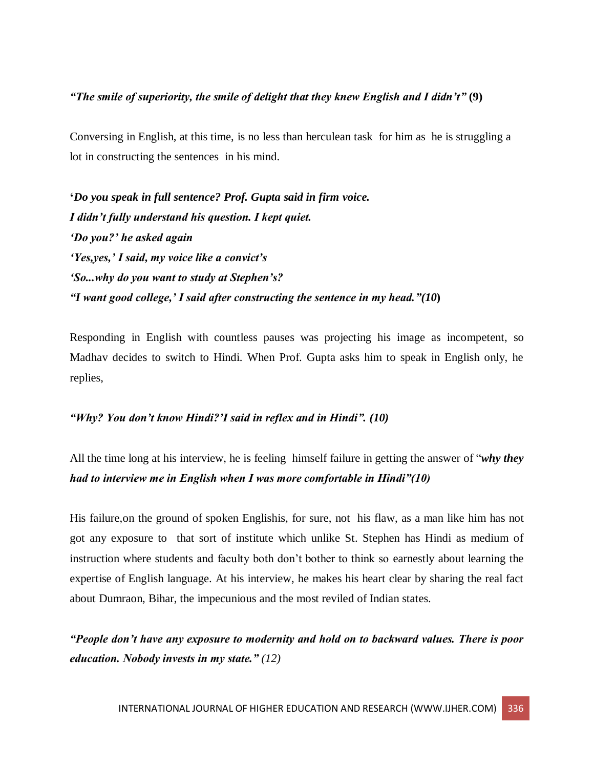# *"The smile of superiority, the smile of delight that they knew English and I didn't"* **(9)**

Conversing in English, at this time, is no less than herculean task for him as he is struggling a lot in constructing the sentences in his mind.

**'***Do you speak in full sentence? Prof. Gupta said in firm voice. I didn't fully understand his question. I kept quiet. 'Do you?' he asked again 'Yes,yes,' I said, my voice like a convict's 'So...why do you want to study at Stephen's? "I want good college,' I said after constructing the sentence in my head."(10***)**

Responding in English with countless pauses was projecting his image as incompetent, so Madhav decides to switch to Hindi. When Prof. Gupta asks him to speak in English only, he replies,

# *"Why? You don't know Hindi?'I said in reflex and in Hindi". (10)*

All the time long at his interview, he is feeling himself failure in getting the answer of "*why they had to interview me in English when I was more comfortable in Hindi"(10)*

His failure,on the ground of spoken Englishis, for sure, not his flaw, as a man like him has not got any exposure to that sort of institute which unlike St. Stephen has Hindi as medium of instruction where students and faculty both don't bother to think so earnestly about learning the expertise of English language. At his interview, he makes his heart clear by sharing the real fact about Dumraon, Bihar, the impecunious and the most reviled of Indian states.

*"People don't have any exposure to modernity and hold on to backward values. There is poor education. Nobody invests in my state." (12)*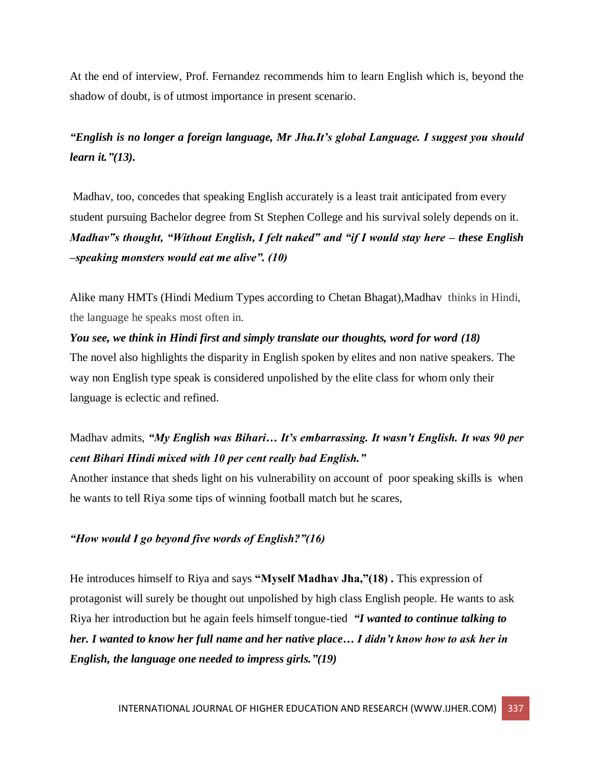At the end of interview, Prof. Fernandez recommends him to learn English which is, beyond the shadow of doubt, is of utmost importance in present scenario.

*"English is no longer a foreign language, Mr Jha.It's global Language. I suggest you should learn it."(13).*

Madhav, too, concedes that speaking English accurately is a least trait anticipated from every student pursuing Bachelor degree from St Stephen College and his survival solely depends on it. *Madhav"s thought, "Without English, I felt naked" and "if I would stay here – these English –speaking monsters would eat me alive". (10)*

Alike many HMTs (Hindi Medium Types according to Chetan Bhagat),Madhav thinks in Hindi, the language he speaks most often in.

*You see, we think in Hindi first and simply translate our thoughts, word for word (18)* The novel also highlights the disparity in English spoken by elites and non native speakers. The way non English type speak is considered unpolished by the elite class for whom only their language is eclectic and refined.

Madhav admits, *"My English was Bihari… It's embarrassing. It wasn't English. It was 90 per cent Bihari Hindi mixed with 10 per cent really bad English."*

Another instance that sheds light on his vulnerability on account of poor speaking skills is when he wants to tell Riya some tips of winning football match but he scares,

# *"How would I go beyond five words of English?"(16)*

He introduces himself to Riya and says **"Myself Madhav Jha,"(18) .** This expression of protagonist will surely be thought out unpolished by high class English people. He wants to ask Riya her introduction but he again feels himself tongue-tied *"I wanted to continue talking to her. I wanted to know her full name and her native place… I didn't know how to ask her in English, the language one needed to impress girls."(19)*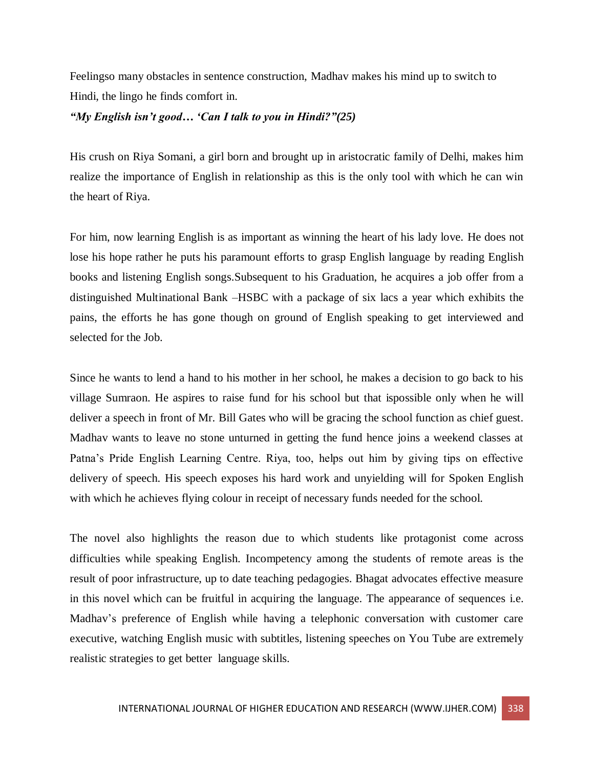Feelingso many obstacles in sentence construction, Madhav makes his mind up to switch to Hindi, the lingo he finds comfort in.

# *"My English isn't good… 'Can I talk to you in Hindi?"(25)*

His crush on Riya Somani, a girl born and brought up in aristocratic family of Delhi, makes him realize the importance of English in relationship as this is the only tool with which he can win the heart of Riya.

For him, now learning English is as important as winning the heart of his lady love. He does not lose his hope rather he puts his paramount efforts to grasp English language by reading English books and listening English songs.Subsequent to his Graduation, he acquires a job offer from a distinguished Multinational Bank –HSBC with a package of six lacs a year which exhibits the pains, the efforts he has gone though on ground of English speaking to get interviewed and selected for the Job.

Since he wants to lend a hand to his mother in her school, he makes a decision to go back to his village Sumraon. He aspires to raise fund for his school but that ispossible only when he will deliver a speech in front of Mr. Bill Gates who will be gracing the school function as chief guest. Madhav wants to leave no stone unturned in getting the fund hence joins a weekend classes at Patna's Pride English Learning Centre. Riya, too, helps out him by giving tips on effective delivery of speech. His speech exposes his hard work and unyielding will for Spoken English with which he achieves flying colour in receipt of necessary funds needed for the school.

The novel also highlights the reason due to which students like protagonist come across difficulties while speaking English. Incompetency among the students of remote areas is the result of poor infrastructure, up to date teaching pedagogies. Bhagat advocates effective measure in this novel which can be fruitful in acquiring the language. The appearance of sequences i.e. Madhav's preference of English while having a telephonic conversation with customer care executive, watching English music with subtitles, listening speeches on You Tube are extremely realistic strategies to get better language skills.